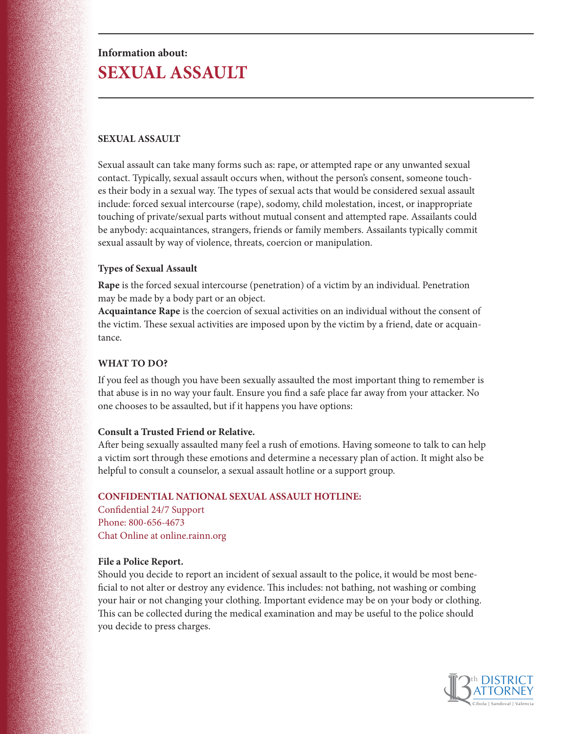# **Information about: SEXUAL ASSAULT**

# **SEXUAL ASSAULT**

Sexual assault can take many forms such as: rape, or attempted rape or any unwanted sexual contact. Typically, sexual assault occurs when, without the person's consent, someone touches their body in a sexual way. The types of sexual acts that would be considered sexual assault include: forced sexual intercourse (rape), sodomy, child molestation, incest, or inappropriate touching of private/sexual parts without mutual consent and attempted rape. Assailants could be anybody: acquaintances, strangers, friends or family members. Assailants typically commit sexual assault by way of violence, threats, coercion or manipulation.

### **Types of Sexual Assault**

**Rape** is the forced sexual intercourse (penetration) of a victim by an individual. Penetration may be made by a body part or an object.

**Acquaintance Rape** is the coercion of sexual activities on an individual without the consent of the victim. These sexual activities are imposed upon by the victim by a friend, date or acquaintance.

## **WHAT TO DO?**

If you feel as though you have been sexually assaulted the most important thing to remember is that abuse is in no way your fault. Ensure you find a safe place far away from your attacker. No one chooses to be assaulted, but if it happens you have options:

#### **Consult a Trusted Friend or Relative.**

After being sexually assaulted many feel a rush of emotions. Having someone to talk to can help a victim sort through these emotions and determine a necessary plan of action. It might also be helpful to consult a counselor, a sexual assault hotline or a support group.

#### **CONFIDENTIAL NATIONAL SEXUAL ASSAULT HOTLINE:**

Confidential 24/7 Support Phone: 800-656-4673 Chat Online at online.rainn.org

# **File a Police Report.**

Should you decide to report an incident of sexual assault to the police, it would be most beneficial to not alter or destroy any evidence. This includes: not bathing, not washing or combing your hair or not changing your clothing. Important evidence may be on your body or clothing. This can be collected during the medical examination and may be useful to the police should you decide to press charges.